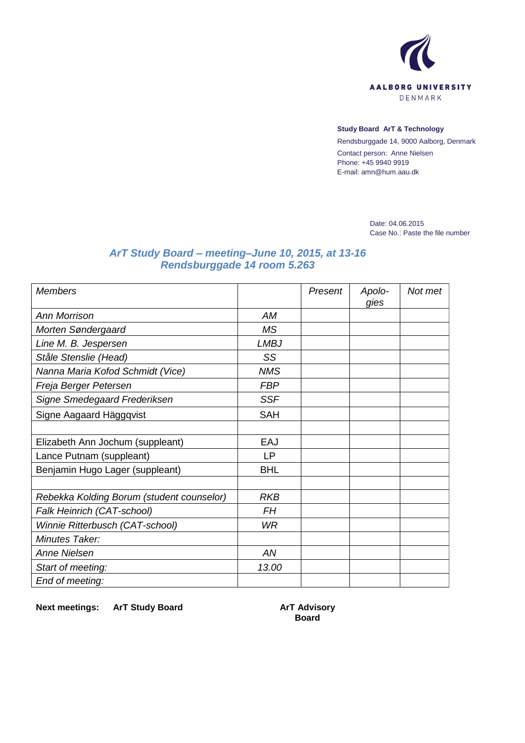

## **Study Board ArT & Technology**

Rendsburggade 14, 9000 Aalborg, Denmark Contact person: Anne Nielsen Phone: +45 9940 9919 E-mail: amn@hum.aau.dk

> Date: 04.06.2015 Case No.: Paste the file number

## *ArT Study Board – meeting–June 10, 2015, at 13-16 Rendsburggade 14 room 5.263*

| <b>Members</b>                            |             | Present | Apolo-<br>gies | Not met |
|-------------------------------------------|-------------|---------|----------------|---------|
| <b>Ann Morrison</b>                       | АM          |         |                |         |
| Morten Søndergaard                        | MS          |         |                |         |
| Line M. B. Jespersen                      | <b>LMBJ</b> |         |                |         |
| Ståle Stenslie (Head)                     | SS          |         |                |         |
| Nanna Maria Kofod Schmidt (Vice)          | <b>NMS</b>  |         |                |         |
| Freja Berger Petersen                     | <b>FBP</b>  |         |                |         |
| Signe Smedegaard Frederiksen              | <b>SSF</b>  |         |                |         |
| Signe Aagaard Häggqvist                   | <b>SAH</b>  |         |                |         |
|                                           |             |         |                |         |
| Elizabeth Ann Jochum (suppleant)          | EAJ         |         |                |         |
| Lance Putnam (suppleant)                  | LР          |         |                |         |
| Benjamin Hugo Lager (suppleant)           | <b>BHL</b>  |         |                |         |
|                                           |             |         |                |         |
| Rebekka Kolding Borum (student counselor) | <b>RKB</b>  |         |                |         |
| Falk Heinrich (CAT-school)                | FH          |         |                |         |
| Winnie Ritterbusch (CAT-school)           | <b>WR</b>   |         |                |         |
| Minutes Taker:                            |             |         |                |         |
| <b>Anne Nielsen</b>                       | AN          |         |                |         |
| Start of meeting:                         | 13.00       |         |                |         |
| End of meeting:                           |             |         |                |         |

**Next meetings: ArT Study Board ArT Advisory** 

**Board**